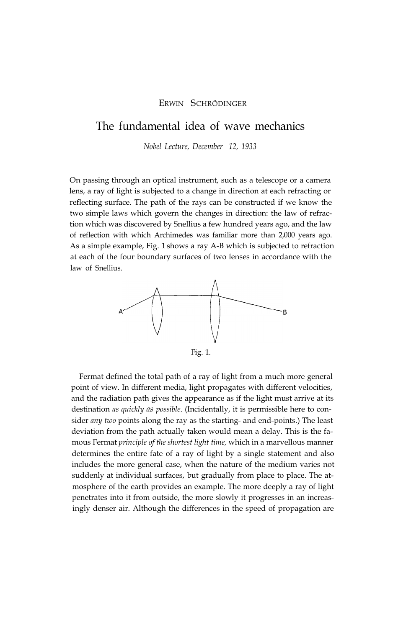# ERWIN SCHRÖDINGER

# The fundamental idea of wave mechanics

*Nobel Lecture, December 12, 1933*

On passing through an optical instrument, such as a telescope or a camera lens, a ray of light is subjected to a change in direction at each refracting or reflecting surface. The path of the rays can be constructed if we know the two simple laws which govern the changes in direction: the law of refraction which was discovered by Snellius a few hundred years ago, and the law of reflection with which Archimedes was familiar more than 2,000 years ago. As a simple example, Fig. 1 shows a ray A-B which is subjected to refraction at each of the four boundary surfaces of two lenses in accordance with the law of Snellius.



Fig. 1.

Fermat defined the total path of a ray of light from a much more general point of view. In different media, light propagates with different velocities, and the radiation path gives the appearance as if the light must arrive at its destination *as quickly as possible*. (Incidentally, it is permissible here to consider *any two* points along the ray as the starting- and end-points.) The least deviation from the path actually taken would mean a delay. This is the famous Fermat *principle of the shortest light time,* which in a marvellous manner determines the entire fate of a ray of light by a single statement and also includes the more general case, when the nature of the medium varies not suddenly at individual surfaces, but gradually from place to place. The atmosphere of the earth provides an example. The more deeply a ray of light penetrates into it from outside, the more slowly it progresses in an increasingly denser air. Although the differences in the speed of propagation are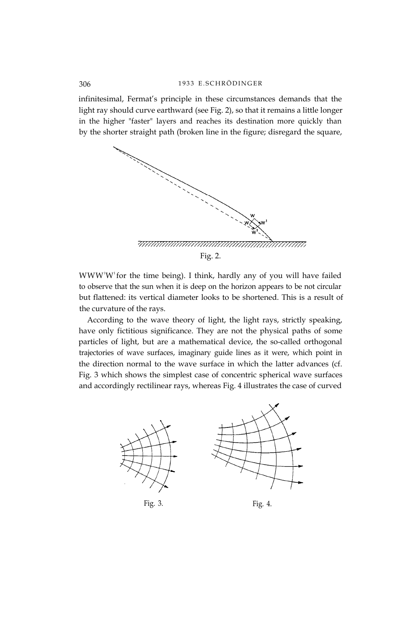infinitesimal, Fermat's principle in these circumstances demands that the light ray should curve earthward (see Fig. 2), so that it remains a little longer in the higher "faster" layers and reaches its destination more quickly than by the shorter straight path (broken line in the figure; disregard the square,



 $WWWW<sup>1</sup>$  for the time being). I think, hardly any of you will have failed to observe that the sun when it is deep on the horizon appears to be not circular but flattened: its vertical diameter looks to be shortened. This is a result of the curvature of the rays.

According to the wave theory of light, the light rays, strictly speaking, have only fictitious significance. They are not the physical paths of some particles of light, but are a mathematical device, the so-called orthogonal trajectories of wave surfaces, imaginary guide lines as it were, which point in the direction normal to the wave surface in which the latter advances (cf. Fig. 3 which shows the simplest case of concentric spherical wave surfaces and accordingly rectilinear rays, whereas Fig. 4 illustrates the case of curved



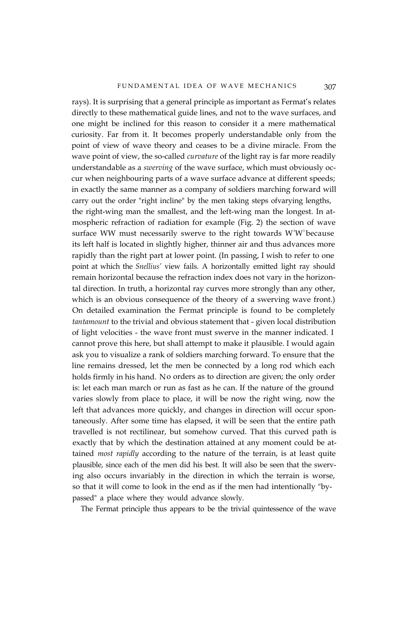rays). It is surprising that a general principle as important as Fermat's relates directly to these mathematical guide lines, and not to the wave surfaces, and one might be inclined for this reason to consider it a mere mathematical curiosity. Far from it. It becomes properly understandable only from the point of view of wave theory and ceases to be a divine miracle. From the wave point of view, the so-called *curvature* of the light ray is far more readily understandable as a *swerving* of the wave surface, which must obviously occur when neighbouring parts of a wave surface advance at different speeds; in exactly the same manner as a company of soldiers marching forward will carry out the order "right incline" by the men taking steps ofvarying lengths, the right-wing man the smallest, and the left-wing man the longest. In atmospheric refraction of radiation for example (Fig. 2) the section of wave surface WW must necessarily swerve to the right towards  $\mathrm{W}^\mathrm{1}\mathrm{W}^\mathrm{1}$ because its left half is located in slightly higher, thinner air and thus advances more rapidly than the right part at lower point. (In passing, I wish to refer to one point at which the *Snellius'* view fails. A horizontally emitted light ray should remain horizontal because the refraction index does not vary in the horizontal direction. In truth, a horizontal ray curves more strongly than any other, which is an obvious consequence of the theory of a swerving wave front.) On detailed examination the Fermat principle is found to be completely *tantamount* to the trivial and obvious statement that - given local distribution of light velocities - the wave front must swerve in the manner indicated. I cannot prove this here, but shall attempt to make it plausible. I would again ask you to visualize a rank of soldiers marching forward. To ensure that the line remains dressed, let the men be connected by a long rod which each holds firmly in his hand. No orders as to direction are given; the only order is: let each man march or run as fast as he can. If the nature of the ground varies slowly from place to place, it will be now the right wing, now the left that advances more quickly, and changes in direction will occur spontaneously. After some time has elapsed, it will be seen that the entire path travelled is not rectilinear, but somehow curved. That this curved path is exactly that by which the destination attained at any moment could be attained *most rapidly* according to the nature of the terrain, is at least quite plausible, since each of the men did his best. It will also be seen that the swerving also occurs invariably in the direction in which the terrain is worse, so that it will come to look in the end as if the men had intentionally "bypassed" a place where they would advance slowly.

The Fermat principle thus appears to be the trivial quintessence of the wave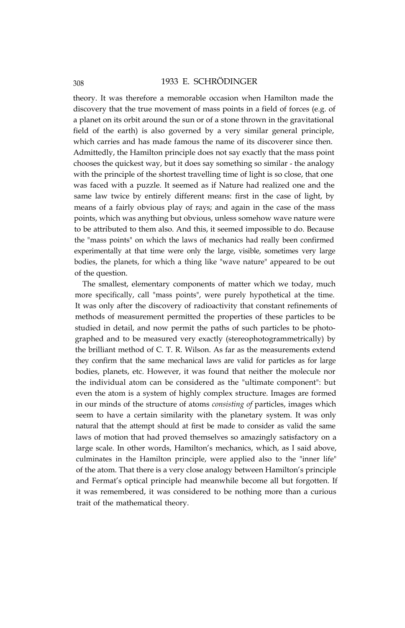# 308 1933 E. SCHRÖDINGER

theory. It was therefore a memorable occasion when Hamilton made the discovery that the true movement of mass points in a field of forces (e.g. of a planet on its orbit around the sun or of a stone thrown in the gravitational field of the earth) is also governed by a very similar general principle, which carries and has made famous the name of its discoverer since then. Admittedly, the Hamilton principle does not say exactly that the mass point chooses the quickest way, but it does say something so similar - the analogy with the principle of the shortest travelling time of light is so close, that one was faced with a puzzle. It seemed as if Nature had realized one and the same law twice by entirely different means: first in the case of light, by means of a fairly obvious play of rays; and again in the case of the mass points, which was anything but obvious, unless somehow wave nature were to be attributed to them also. And this, it seemed impossible to do. Because the "mass points" on which the laws of mechanics had really been confirmed experimentally at that time were only the large, visible, sometimes very large bodies, the planets, for which a thing like "wave nature" appeared to be out of the question.

The smallest, elementary components of matter which we today, much more specifically, call "mass points", were purely hypothetical at the time. It was only after the discovery of radioactivity that constant refinements of methods of measurement permitted the properties of these particles to be studied in detail, and now permit the paths of such particles to be photographed and to be measured very exactly (stereophotogrammetrically) by the brilliant method of C. T. R. Wilson. As far as the measurements extend they confirm that the same mechanical laws are valid for particles as for large bodies, planets, etc. However, it was found that neither the molecule nor the individual atom can be considered as the "ultimate component": but even the atom is a system of highly complex structure. Images are formed in our minds of the structure of atoms *consisting of* particles, images which seem to have a certain similarity with the planetary system. It was only natural that the attempt should at first be made to consider as valid the same laws of motion that had proved themselves so amazingly satisfactory on a large scale. In other words, Hamilton's mechanics, which, as I said above, culminates in the Hamilton principle, were applied also to the "inner life" of the atom. That there is a very close analogy between Hamilton's principle and Fermat's optical principle had meanwhile become all but forgotten. If it was remembered, it was considered to be nothing more than a curious trait of the mathematical theory.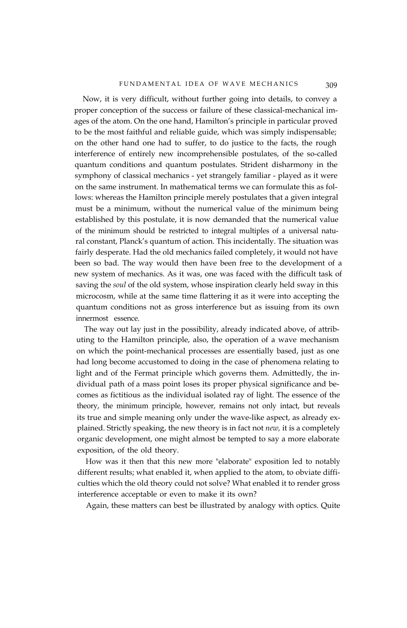Now, it is very difficult, without further going into details, to convey a proper conception of the success or failure of these classical-mechanical images of the atom. On the one hand, Hamilton's principle in particular proved to be the most faithful and reliable guide, which was simply indispensable; on the other hand one had to suffer, to do justice to the facts, the rough interference of entirely new incomprehensible postulates, of the so-called quantum conditions and quantum postulates. Strident disharmony in the symphony of classical mechanics - yet strangely familiar - played as it were on the same instrument. In mathematical terms we can formulate this as follows: whereas the Hamilton principle merely postulates that a given integral must be a minimum, without the numerical value of the minimum being established by this postulate, it is now demanded that the numerical value of the minimum should be restricted to integral multiples of a universal natural constant, Planck's quantum of action. This incidentally. The situation was fairly desperate. Had the old mechanics failed completely, it would not have been so bad. The way would then have been free to the development of a new system of mechanics. As it was, one was faced with the difficult task of saving the *soul* of the old system, whose inspiration clearly held sway in this microcosm, while at the same time flattering it as it were into accepting the quantum conditions not as gross interference but as issuing from its own innermost essence.

The way out lay just in the possibility, already indicated above, of attributing to the Hamilton principle, also, the operation of a wave mechanism on which the point-mechanical processes are essentially based, just as one had long become accustomed to doing in the case of phenomena relating to light and of the Fermat principle which governs them. Admittedly, the individual path of a mass point loses its proper physical significance and becomes as fictitious as the individual isolated ray of light. The essence of the theory, the minimum principle, however, remains not only intact, but reveals its true and simple meaning only under the wave-like aspect, as already explained. Strictly speaking, the new theory is in fact not *new,* it is a completely organic development, one might almost be tempted to say a more elaborate exposition, of the old theory.

How was it then that this new more "elaborate" exposition led to notably different results; what enabled it, when applied to the atom, to obviate difficulties which the old theory could not solve? What enabled it to render gross interference acceptable or even to make it its own?

Again, these matters can best be illustrated by analogy with optics. Quite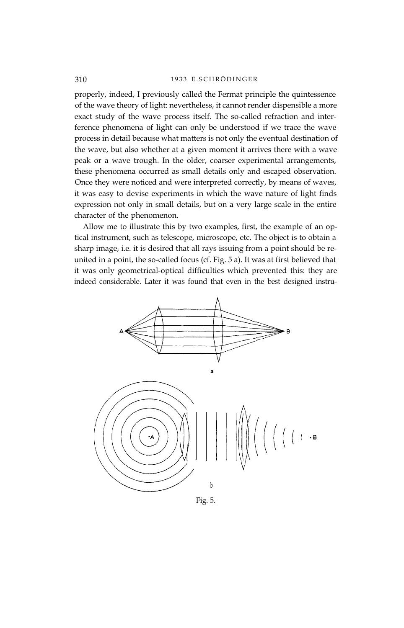## 310 1933 E.SCHRÖDINGER

properly, indeed, I previously called the Fermat principle the quintessence of the wave theory of light: nevertheless, it cannot render dispensible a more exact study of the wave process itself. The so-called refraction and interference phenomena of light can only be understood if we trace the wave process in detail because what matters is not only the eventual destination of the wave, but also whether at a given moment it arrives there with a wave peak or a wave trough. In the older, coarser experimental arrangements, these phenomena occurred as small details only and escaped observation. Once they were noticed and were interpreted correctly, by means of waves, it was easy to devise experiments in which the wave nature of light finds expression not only in small details, but on a very large scale in the entire character of the phenomenon.

Allow me to illustrate this by two examples, first, the example of an optical instrument, such as telescope, microscope, etc. The object is to obtain a sharp image, i.e. it is desired that all rays issuing from a point should be reunited in a point, the so-called focus (cf. Fig. 5 a). It was at first believed that it was only geometrical-optical difficulties which prevented this: they are indeed considerable. Later it was found that even in the best designed instru-

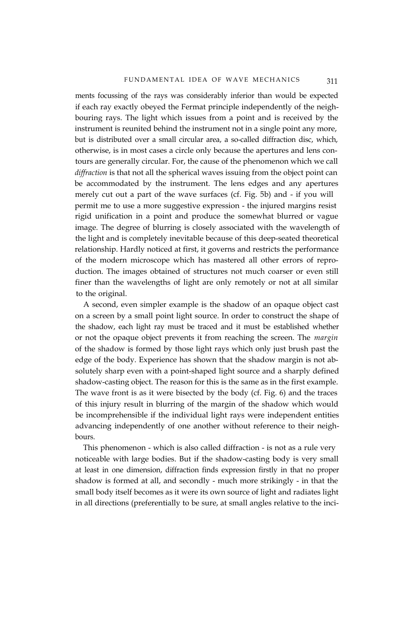ments focussing of the rays was considerably inferior than would be expected if each ray exactly obeyed the Fermat principle independently of the neighbouring rays. The light which issues from a point and is received by the instrument is reunited behind the instrument not in a single point any more, but is distributed over a small circular area, a so-called diffraction disc, which, otherwise, is in most cases a circle only because the apertures and lens contours are generally circular. For, the cause of the phenomenon which we call *diffraction* is that not all the spherical waves issuing from the object point can be accommodated by the instrument. The lens edges and any apertures merely cut out a part of the wave surfaces (cf. Fig. 5b) and - if you will permit me to use a more suggestive expression - the injured margins resist rigid unification in a point and produce the somewhat blurred or vague image. The degree of blurring is closely associated with the wavelength of the light and is completely inevitable because of this deep-seated theoretical relationship. Hardly noticed at first, it governs and restricts the performance of the modern microscope which has mastered all other errors of reproduction. The images obtained of structures not much coarser or even still finer than the wavelengths of light are only remotely or not at all similar to the original.

A second, even simpler example is the shadow of an opaque object cast on a screen by a small point light source. In order to construct the shape of the shadow, each light ray must be traced and it must be established whether or not the opaque object prevents it from reaching the screen. The *margin* of the shadow is formed by those light rays which only just brush past the edge of the body. Experience has shown that the shadow margin is not absolutely sharp even with a point-shaped light source and a sharply defined shadow-casting object. The reason for this is the same as in the first example. The wave front is as it were bisected by the body (cf. Fig. 6) and the traces of this injury result in blurring of the margin of the shadow which would be incomprehensible if the individual light rays were independent entities advancing independently of one another without reference to their neighbours.

This phenomenon - which is also called diffraction - is not as a rule very noticeable with large bodies. But if the shadow-casting body is very small at least in one dimension, diffraction finds expression firstly in that no proper shadow is formed at all, and secondly - much more strikingly - in that the small body itself becomes as it were its own source of light and radiates light in all directions (preferentially to be sure, at small angles relative to the inci-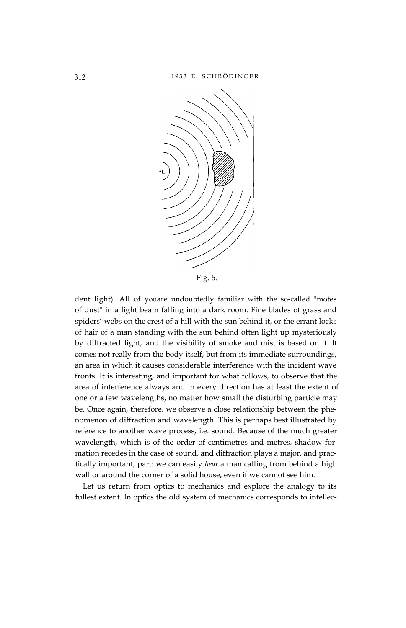

Fig. 6.

dent light). All of youare undoubtedly familiar with the so-called "motes of dust" in a light beam falling into a dark room. Fine blades of grass and spiders' webs on the crest of a hill with the sun behind it, or the errant locks of hair of a man standing with the sun behind often light up mysteriously by diffracted light, and the visibility of smoke and mist is based on it. It comes not really from the body itself, but from its immediate surroundings, an area in which it causes considerable interference with the incident wave fronts. It is interesting, and important for what follows, to observe that the area of interference always and in every direction has at least the extent of one or a few wavelengths, no matter how small the disturbing particle may be. Once again, therefore, we observe a close relationship between the phenomenon of diffraction and wavelength. This is perhaps best illustrated by reference to another wave process, i.e. sound. Because of the much greater wavelength, which is of the order of centimetres and metres, shadow formation recedes in the case of sound, and diffraction plays a major, and practically important, part: we can easily *hear* a man calling from behind a high wall or around the corner of a solid house, even if we cannot see him.

Let us return from optics to mechanics and explore the analogy to its fullest extent. In optics the old system of mechanics corresponds to intellec-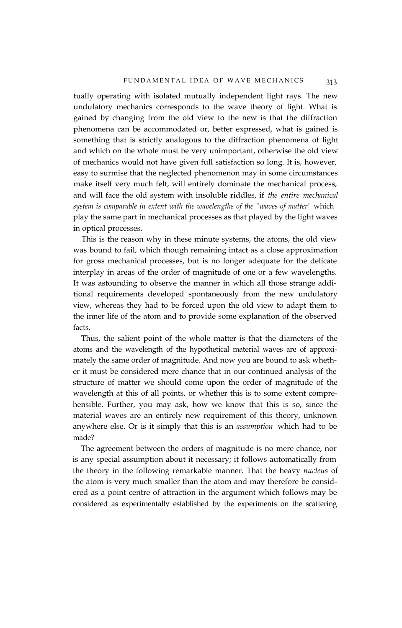tually operating with isolated mutually independent light rays. The new undulatory mechanics corresponds to the wave theory of light. What is gained by changing from the old view to the new is that the diffraction phenomena can be accommodated or, better expressed, what is gained is something that is strictly analogous to the diffraction phenomena of light and which on the whole must be very unimportant, otherwise the old view of mechanics would not have given full satisfaction so long. It is, however, easy to surmise that the neglected phenomenon may in some circumstances make itself very much felt, will entirely dominate the mechanical process, and will face the old system with insoluble riddles, if *the entire mechanical system is comparable in extent with the wavelengths of the "waves of matter"* which play the same part in mechanical processes as that played by the light waves in optical processes.

This is the reason why in these minute systems, the atoms, the old view was bound to fail, which though remaining intact as a close approximation for gross mechanical processes, but is no longer adequate for the delicate interplay in areas of the order of magnitude of one or a few wavelengths. It was astounding to observe the manner in which all those strange additional requirements developed spontaneously from the new undulatory view, whereas they had to be forced upon the old view to adapt them to the inner life of the atom and to provide some explanation of the observed facts.

Thus, the salient point of the whole matter is that the diameters of the atoms and the wavelength of the hypothetical material waves are of approximately the same order of magnitude. And now you are bound to ask whether it must be considered mere chance that in our continued analysis of the structure of matter we should come upon the order of magnitude of the wavelength at this of all points, or whether this is to some extent comprehensible. Further, you may ask, how we know that this is so, since the material waves are an entirely new requirement of this theory, unknown anywhere else. Or is it simply that this is an *assumption* which had to be made?

The agreement between the orders of magnitude is no mere chance, nor is any special assumption about it necessary; it follows automatically from the theory in the following remarkable manner. That the heavy *nucleus* of the atom is very much smaller than the atom and may therefore be considered as a point centre of attraction in the argument which follows may be considered as experimentally established by the experiments on the scattering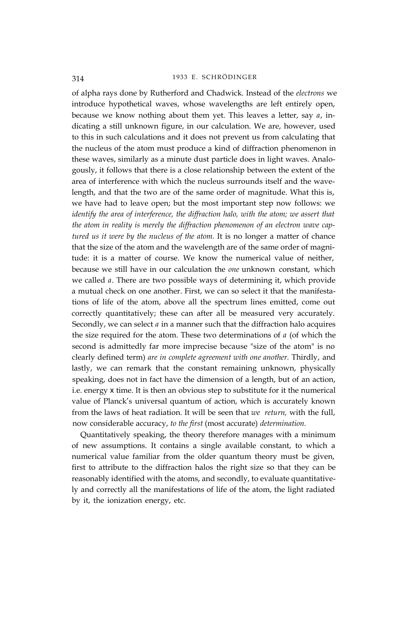### 314 1933 E. SCHRÖDINGER

of alpha rays done by Rutherford and Chadwick. Instead of the *electrons* we introduce hypothetical waves, whose wavelengths are left entirely open, because we know nothing about them yet. This leaves a letter, say *a*, indicating a still unknown figure, in our calculation. We are, however, used to this in such calculations and it does not prevent us from calculating that the nucleus of the atom must produce a kind of diffraction phenomenon in these waves, similarly as a minute dust particle does in light waves. Analogously, it follows that there is a close relationship between the extent of the area of interference with which the nucleus surrounds itself and the wavelength, and that the two are of the same order of magnitude. What this is, we have had to leave open; but the most important step now follows: we *identify the area of interference, the diffraction halo, with the atom; we assert that the atom in reality is merely the diffraction phenomenon of an electron wave captured us it were by the nucleus of the atom.* It is no longer a matter of chance that the size of the atom and the wavelength are of the same order of magnitude: it is a matter of course. We know the numerical value of neither, because we still have in our calculation the *one* unknown constant, which we called *a*. There are two possible ways of determining it, which provide a mutual check on one another. First, we can so select it that the manifestations of life of the atom, above all the spectrum lines emitted, come out correctly quantitatively; these can after all be measured very accurately. Secondly, we can select *a* in a manner such that the diffraction halo acquires the size required for the atom. These two determinations of *a* (of which the second is admittedly far more imprecise because "size of the atom" is no clearly defined term) *are in complete agreement with one another.* Thirdly, and lastly, we can remark that the constant remaining unknown, physically speaking, does not in fact have the dimension of a length, but of an action, i.e. energy x time. It is then an obvious step to substitute for it the numerical value of Planck's universal quantum of action, which is accurately known from the laws of heat radiation. It will be seen that *we return,* with the full, now considerable accuracy, *to the first* (most accurate) *determination.*

Quantitatively speaking, the theory therefore manages with a minimum of new assumptions. It contains a single available constant, to which a numerical value familiar from the older quantum theory must be given, first to attribute to the diffraction halos the right size so that they can be reasonably identified with the atoms, and secondly, to evaluate quantitatively and correctly all the manifestations of life of the atom, the light radiated by it, the ionization energy, etc.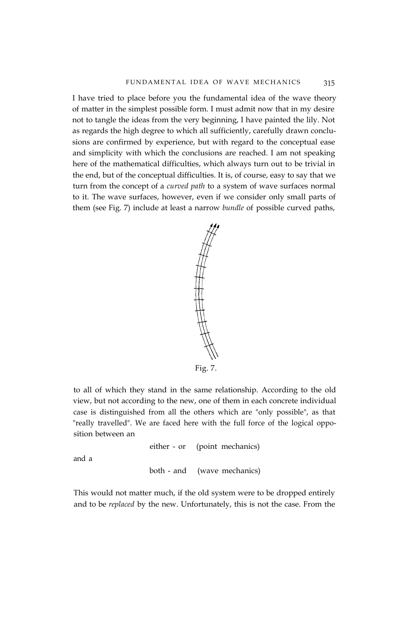I have tried to place before you the fundamental idea of the wave theory of matter in the simplest possible form. I must admit now that in my desire not to tangle the ideas from the very beginning, I have painted the lily. Not as regards the high degree to which all sufficiently, carefully drawn conclusions are confirmed by experience, but with regard to the conceptual ease and simplicity with which the conclusions are reached. I am not speaking here of the mathematical difficulties, which always turn out to be trivial in the end, but of the conceptual difficulties. It is, of course, easy to say that we turn from the concept of a *curved path* to a system of wave surfaces normal to it. The wave surfaces, however, even if we consider only small parts of them (see Fig. 7) include at least a narrow *bundle* of possible curved paths,



to all of which they stand in the same relationship. According to the old view, but not according to the new, one of them in each concrete individual case is distinguished from all the others which are "only possible", as that "really travelled". We are faced here with the full force of the logical opposition between an

> either - or (point mechanics) both - and (wave mechanics)

and a

This would not matter much, if the old system were to be dropped entirely and to be *replaced* by the new. Unfortunately, this is not the case. From the